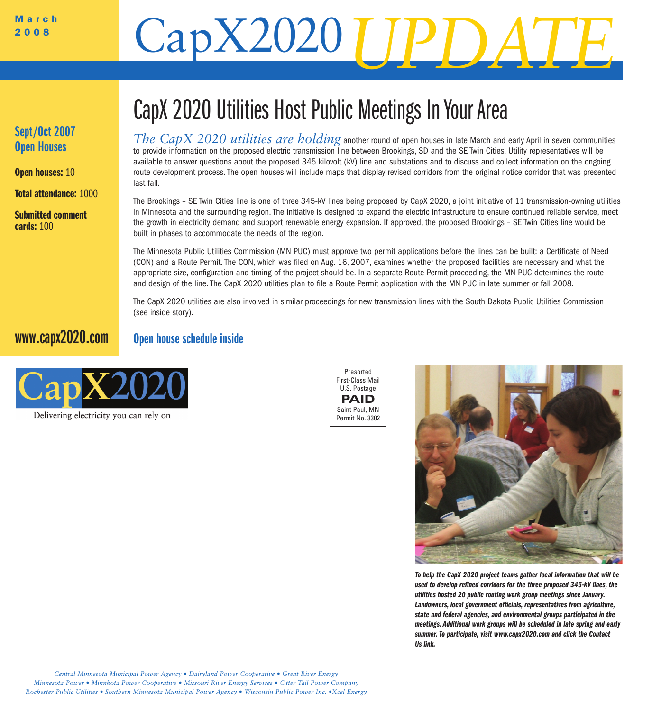## March CapX2020

#### **Sept/Oct 2007 Open Houses**

**Open houses:** 10

**Total attendance:** 1000

**Submitted comment cards:** 100

## CapX 2020 Utilities Host Public Meetings In Your Area

*The CapX 2020 utilities are holding* another round of open houses in late March and early April in seven communities to provide information on the proposed electric transmission line between Brookings, SD and the SE Twin Cities. Utility representatives will be available to answer questions about the proposed 345 kilovolt (kV) line and substations and to discuss and collect information on the ongoing route development process. The open houses will include maps that display revised corridors from the original notice corridor that was presented last fall.

The Brookings – SE Twin Cities line is one of three 345-kV lines being proposed by CapX 2020, a joint initiative of 11 transmission-owning utilities in Minnesota and the surrounding region. The initiative is designed to expand the electric infrastructure to ensure continued reliable service, meet the growth in electricity demand and support renewable energy expansion. If approved, the proposed Brookings – SE Twin Cities line would be built in phases to accommodate the needs of the region.

The Minnesota Public Utilities Commission (MN PUC) must approve two permit applications before the lines can be built: a Certificate of Need (CON) and a Route Permit. The CON, which was filed on Aug. 16, 2007, examines whether the proposed facilities are necessary and what the appropriate size, configuration and timing of the project should be. In a separate Route Permit proceeding, the MN PUC determines the route and design of the line. The CapX 2020 utilities plan to file a Route Permit application with the MN PUC in late summer or fall 2008.

The CapX 2020 utilities are also involved in similar proceedings for new transmission lines with the South Dakota Public Utilities Commission (see inside story).

#### **Open house schedule inside www.capx2020.com**



Delivering electricity you can rely on





*To help the CapX 2020 project teams gather local information that will be used to develop refined corridors for the three proposed 345-kV lines, the utilities hosted 20 public routing work group meetings since January. Landowners, local government officials, representatives from agriculture, state and federal agencies, and environmental groups participated in the meetings. Additional work groups will be scheduled in late spring and early summer. To participate, visit www.capx2020.com and click the Contact Us link.*